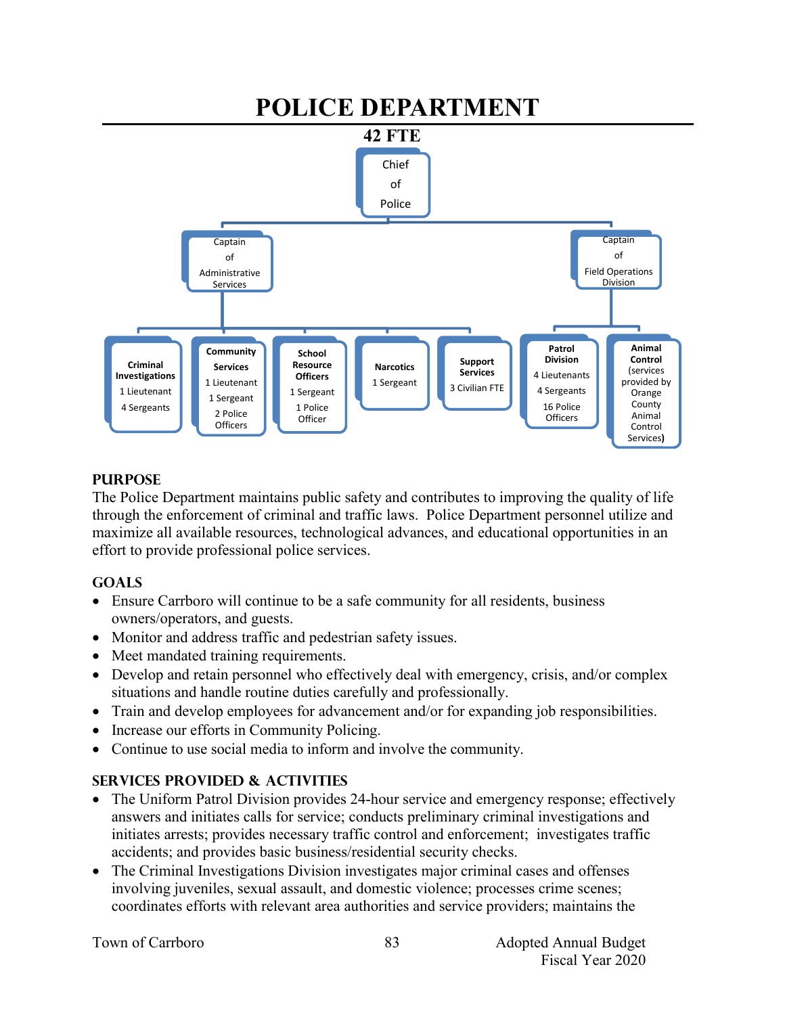

## **PURPOSE**

The Police Department maintains public safety and contributes to improving the quality of life through the enforcement of criminal and traffic laws. Police Department personnel utilize and maximize all available resources, technological advances, and educational opportunities in an effort to provide professional police services.

## **GOALS**

- Ensure Carrboro will continue to be a safe community for all residents, business owners/operators, and guests.
- Monitor and address traffic and pedestrian safety issues.
- Meet mandated training requirements.
- Develop and retain personnel who effectively deal with emergency, crisis, and/or complex situations and handle routine duties carefully and professionally.
- Train and develop employees for advancement and/or for expanding job responsibilities.
- Increase our efforts in Community Policing.
- Continue to use social media to inform and involve the community.

## **SERVICES PROVIDED & ACTIVITIES**

- The Uniform Patrol Division provides 24-hour service and emergency response; effectively answers and initiates calls for service; conducts preliminary criminal investigations and initiates arrests; provides necessary traffic control and enforcement; investigates traffic accidents; and provides basic business/residential security checks.
- The Criminal Investigations Division investigates major criminal cases and offenses involving juveniles, sexual assault, and domestic violence; processes crime scenes; coordinates efforts with relevant area authorities and service providers; maintains the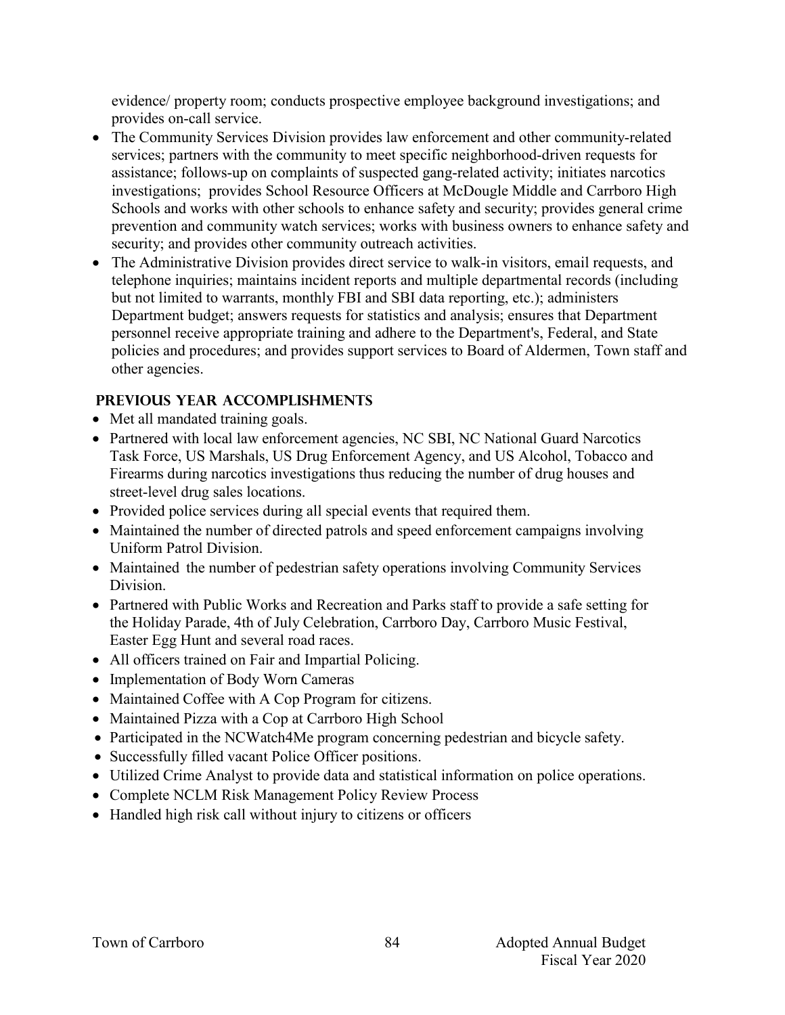evidence/ property room; conducts prospective employee background investigations; and provides on-call service.

- The Community Services Division provides law enforcement and other community-related services; partners with the community to meet specific neighborhood-driven requests for assistance; follows-up on complaints of suspected gang-related activity; initiates narcotics investigations; provides School Resource Officers at McDougle Middle and Carrboro High Schools and works with other schools to enhance safety and security; provides general crime prevention and community watch services; works with business owners to enhance safety and security; and provides other community outreach activities.
- The Administrative Division provides direct service to walk-in visitors, email requests, and telephone inquiries; maintains incident reports and multiple departmental records (including but not limited to warrants, monthly FBI and SBI data reporting, etc.); administers Department budget; answers requests for statistics and analysis; ensures that Department personnel receive appropriate training and adhere to the Department's, Federal, and State policies and procedures; and provides support services to Board of Aldermen, Town staff and other agencies.

## **PREVIOUS YEAR ACCOMPLISHMENTS**

- Met all mandated training goals.
- Partnered with local law enforcement agencies, NC SBI, NC National Guard Narcotics Task Force, US Marshals, US Drug Enforcement Agency, and US Alcohol, Tobacco and Firearms during narcotics investigations thus reducing the number of drug houses and street-level drug sales locations.
- Provided police services during all special events that required them.
- Maintained the number of directed patrols and speed enforcement campaigns involving Uniform Patrol Division.
- Maintained the number of pedestrian safety operations involving Community Services Division.
- Partnered with Public Works and Recreation and Parks staff to provide a safe setting for the Holiday Parade, 4th of July Celebration, Carrboro Day, Carrboro Music Festival, Easter Egg Hunt and several road races.
- All officers trained on Fair and Impartial Policing.
- Implementation of Body Worn Cameras
- Maintained Coffee with A Cop Program for citizens.
- Maintained Pizza with a Cop at Carrboro High School
- Participated in the NCWatch4Me program concerning pedestrian and bicycle safety.
- Successfully filled vacant Police Officer positions.
- Utilized Crime Analyst to provide data and statistical information on police operations.
- Complete NCLM Risk Management Policy Review Process
- Handled high risk call without injury to citizens or officers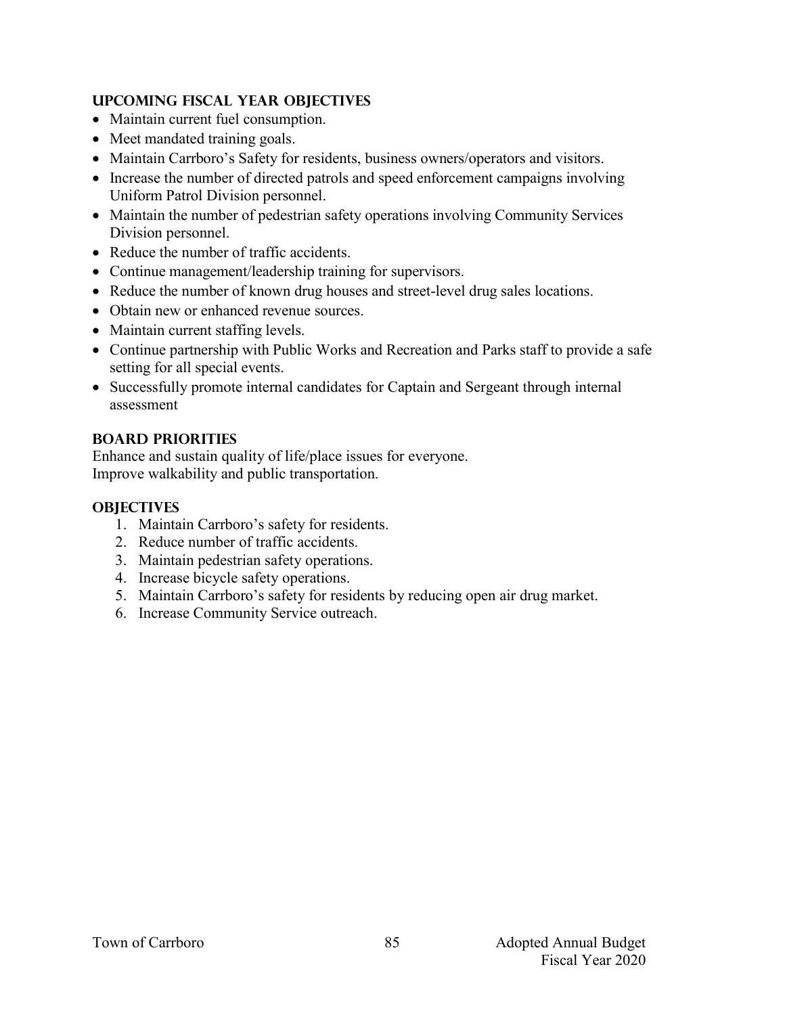## **UPCOMING FISCAL YEAR OBJECTIVES**

- Maintain current fuel consumption.
- Meet mandated training goals.
- Maintain Carrboro's Safety for residents, business owners/operators and visitors.
- Increase the number of directed patrols and speed enforcement campaigns involving Uniform Patrol Division personnel.
- Maintain the number of pedestrian safety operations involving Community Services Division personnel.
- Reduce the number of traffic accidents.
- Continue management/leadership training for supervisors.
- Reduce the number of known drug houses and street-level drug sales locations.
- Obtain new or enhanced revenue sources.
- Maintain current staffing levels.
- Continue partnership with Public Works and Recreation and Parks staff to provide a safe setting for all special events.
- Successfully promote internal candidates for Captain and Sergeant through internal assessment

## **BOARD PRIORITIES**

Enhance and sustain quality of life/place issues for everyone. Improve walkability and public transportation.

## **OBJECTIVES**

- 1. Maintain Carrboro's safety for residents.
- 2. Reduce number of traffic accidents.
- 3. Maintain pedestrian safety operations.
- 4. Increase bicycle safety operations.
- 5. Maintain Carrboro's safety for residents by reducing open air drug market.
- 6. Increase Community Service outreach.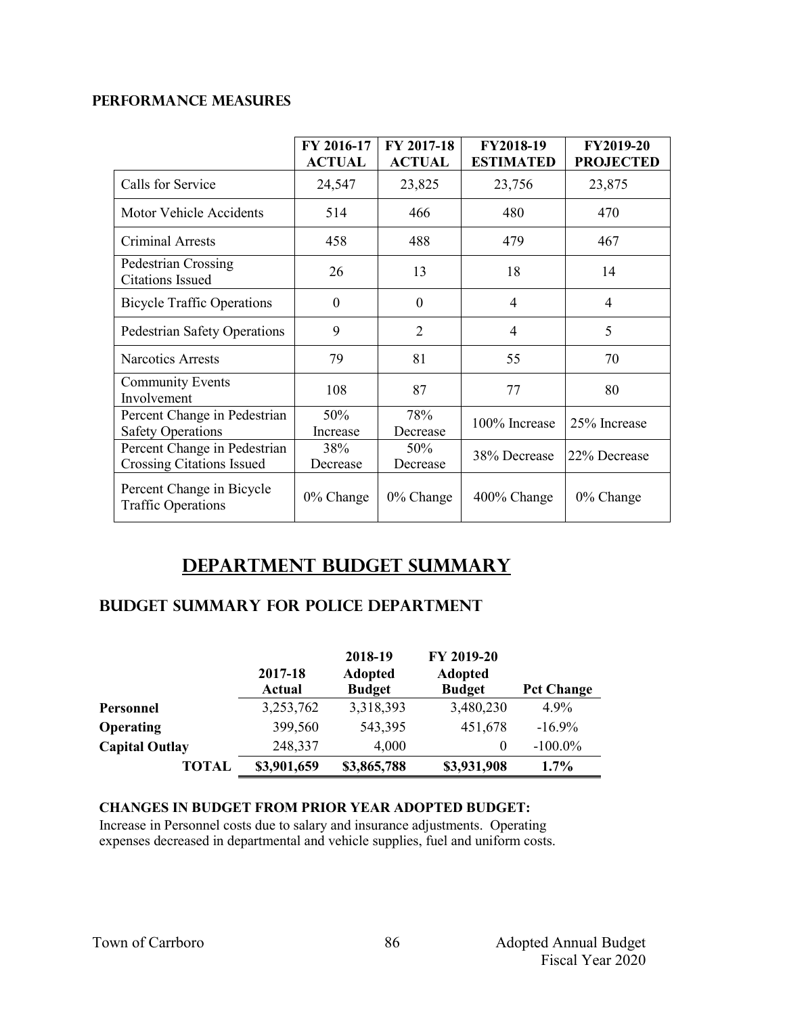### **Performance Measures**

|                                                                  | FY 2016-17<br><b>ACTUAL</b> | FY 2017-18<br><b>ACTUAL</b> | FY2018-19<br><b>ESTIMATED</b> | <b>FY2019-20</b><br><b>PROJECTED</b> |
|------------------------------------------------------------------|-----------------------------|-----------------------------|-------------------------------|--------------------------------------|
| Calls for Service                                                | 24,547                      | 23,825                      | 23,756                        | 23,875                               |
| <b>Motor Vehicle Accidents</b>                                   | 514                         | 466                         | 480                           | 470                                  |
| Criminal Arrests                                                 | 458                         | 488                         | 479                           | 467                                  |
| Pedestrian Crossing<br><b>Citations Issued</b>                   | 26                          | 13                          | 18                            | 14                                   |
| <b>Bicycle Traffic Operations</b>                                | $\theta$                    | $\boldsymbol{0}$            | $\overline{4}$                | 4                                    |
| Pedestrian Safety Operations                                     | 9                           | $\overline{2}$              | $\overline{4}$                | 5                                    |
| Narcotics Arrests                                                | 79                          | 81                          | 55                            | 70                                   |
| <b>Community Events</b><br>Involvement                           | 108                         | 87                          | 77                            | 80                                   |
| Percent Change in Pedestrian<br><b>Safety Operations</b>         | 50%<br>Increase             | 78%<br>Decrease             | 100% Increase                 | 25% Increase                         |
| Percent Change in Pedestrian<br><b>Crossing Citations Issued</b> | 38%<br>Decrease             | 50%<br>Decrease             | 38% Decrease                  | 22% Decrease                         |
| Percent Change in Bicycle<br><b>Traffic Operations</b>           | $0\%$ Change                | 0% Change                   | 400% Change                   | $0\%$ Change                         |

# **Department Budget Summary**

## **Budget summary for police department**

|                       | 2017-18<br>Actual | 2018-19<br><b>Adopted</b><br><b>Budget</b> | FY 2019-20<br><b>Adopted</b><br><b>Budget</b> | <b>Pct Change</b> |
|-----------------------|-------------------|--------------------------------------------|-----------------------------------------------|-------------------|
| Personnel             | 3,253,762         | 3,318,393                                  | 3,480,230                                     | 4.9%              |
| <b>Operating</b>      | 399,560           | 543,395                                    | 451,678                                       | $-16.9%$          |
| <b>Capital Outlay</b> | 248,337           | 4,000                                      | $\theta$                                      | $-100.0\%$        |
| <b>TOTAL</b>          | \$3,901,659       | \$3,865,788                                | \$3,931,908                                   | 1.7%              |

## **CHANGES IN BUDGET FROM PRIOR YEAR ADOPTED BUDGET:**

Increase in Personnel costs due to salary and insurance adjustments. Operating expenses decreased in departmental and vehicle supplies, fuel and uniform costs.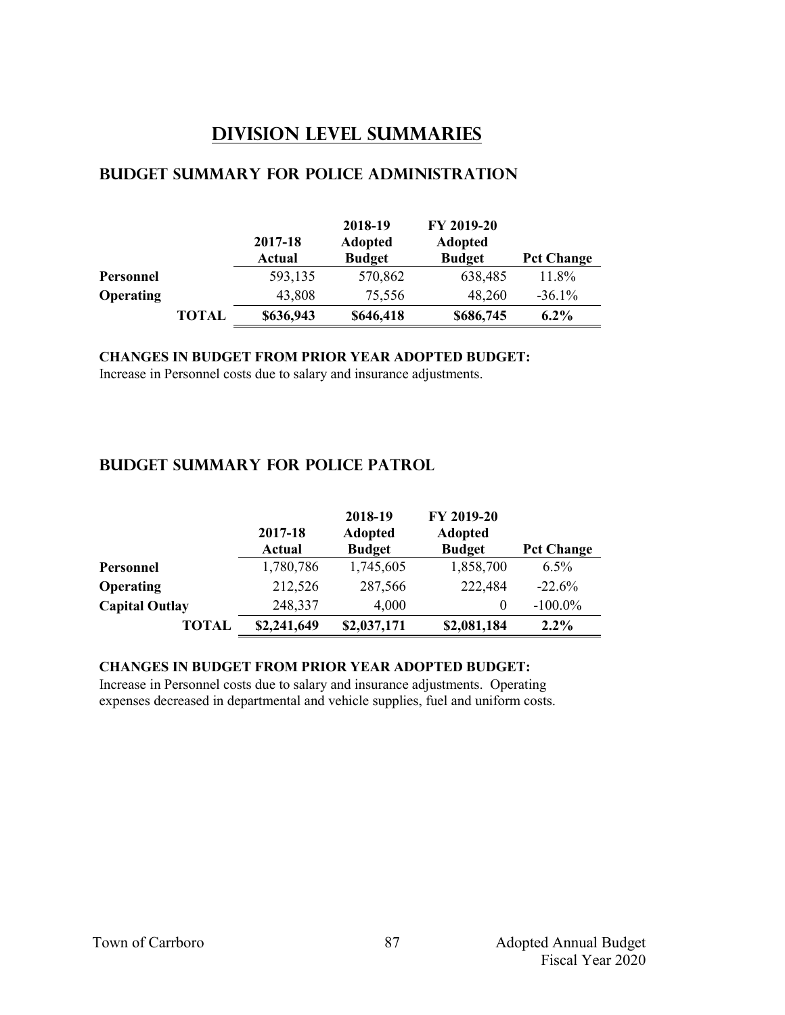# **Division Level Summaries**

## **Budget summary for police administration**

|                  |              | 2017-18<br>Actual | 2018-19<br><b>Adopted</b><br><b>Budget</b> | FY 2019-20<br>Adopted<br><b>Budget</b> | <b>Pct Change</b> |
|------------------|--------------|-------------------|--------------------------------------------|----------------------------------------|-------------------|
| Personnel        |              | 593,135           | 570,862                                    | 638,485                                | 11.8%             |
| <b>Operating</b> |              | 43,808            | 75,556                                     | 48,260                                 | $-36.1\%$         |
|                  | <b>TOTAL</b> | \$636,943         | \$646,418                                  | \$686,745                              | $6.2\%$           |

**CHANGES IN BUDGET FROM PRIOR YEAR ADOPTED BUDGET:**

Increase in Personnel costs due to salary and insurance adjustments.

## **Budget summary for police Patrol**

|                       | 2017-18<br><b>Actual</b> | 2018-19<br><b>Adopted</b><br><b>Budget</b> | FY 2019-20<br><b>Adopted</b><br><b>Budget</b> | <b>Pct Change</b> |
|-----------------------|--------------------------|--------------------------------------------|-----------------------------------------------|-------------------|
| Personnel             | 1,780,786                | 1,745,605                                  | 1,858,700                                     | $6.5\%$           |
| <b>Operating</b>      | 212,526                  | 287,566                                    | 222,484                                       | $-22.6%$          |
| <b>Capital Outlay</b> | 248,337                  | 4,000                                      | $\theta$                                      | $-100.0\%$        |
| <b>TOTAL</b>          | \$2,241,649              | \$2,037,171                                | \$2,081,184                                   | $2.2\%$           |

### **CHANGES IN BUDGET FROM PRIOR YEAR ADOPTED BUDGET:**

Increase in Personnel costs due to salary and insurance adjustments. Operating expenses decreased in departmental and vehicle supplies, fuel and uniform costs.